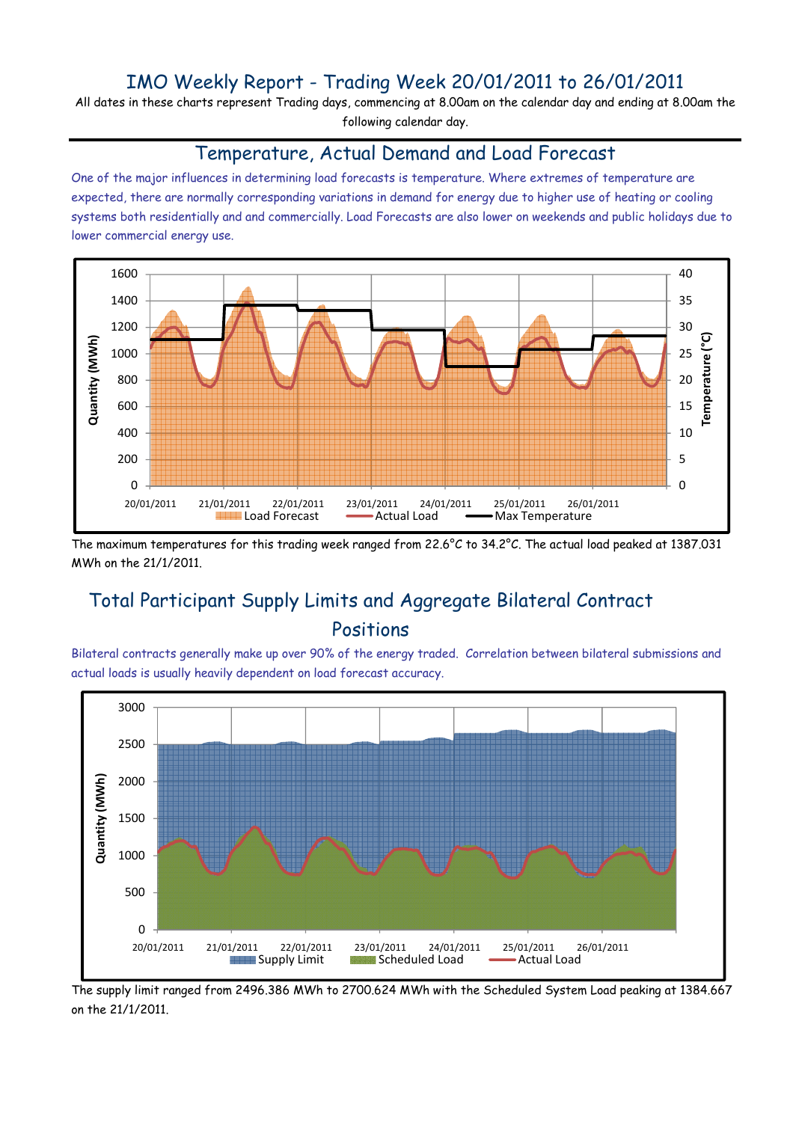## IMO Weekly Report - Trading Week 20/01/2011 to 26/01/2011

All dates in these charts represent Trading days, commencing at 8.00am on the calendar day and ending at 8.00am the following calendar day.

#### Temperature, Actual Demand and Load Forecast

One of the major influences in determining load forecasts is temperature. Where extremes of temperature are expected, there are normally corresponding variations in demand for energy due to higher use of heating or cooling systems both residentially and and commercially. Load Forecasts are also lower on weekends and public holidays due to lower commercial energy use.



The maximum temperatures for this trading week ranged from 22.6°C to 34.2°C. The actual load peaked at 1387.031 MWh on the 21/1/2011.

# Total Participant Supply Limits and Aggregate Bilateral Contract Positions

Bilateral contracts generally make up over 90% of the energy traded. Correlation between bilateral submissions and actual loads is usually heavily dependent on load forecast accuracy.



The supply limit ranged from 2496.386 MWh to 2700.624 MWh with the Scheduled System Load peaking at 1384.667 on the 21/1/2011.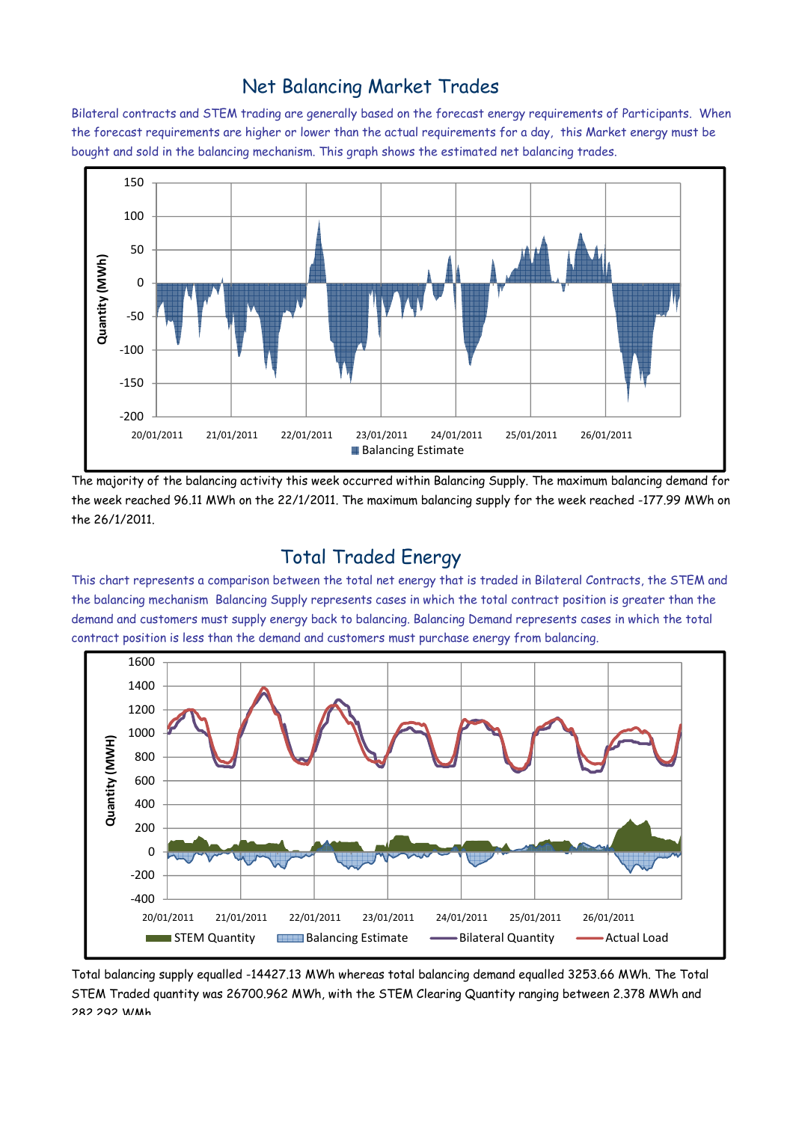### Net Balancing Market Trades

Bilateral contracts and STEM trading are generally based on the forecast energy requirements of Participants. When the forecast requirements are higher or lower than the actual requirements for a day, this Market energy must be bought and sold in the balancing mechanism. This graph shows the estimated net balancing trades.



The majority of the balancing activity this week occurred within Balancing Supply. The maximum balancing demand for the week reached 96.11 MWh on the 22/1/2011. The maximum balancing supply for the week reached -177.99 MWh on the 26/1/2011.

### Total Traded Energy

This chart represents a comparison between the total net energy that is traded in Bilateral Contracts, the STEM and the balancing mechanism Balancing Supply represents cases in which the total contract position is greater than the demand and customers must supply energy back to balancing. Balancing Demand represents cases in which the total contract position is less than the demand and customers must purchase energy from balancing.



Total balancing supply equalled -14427.13 MWh whereas total balancing demand equalled 3253.66 MWh. The Total STEM Traded quantity was 26700.962 MWh, with the STEM Clearing Quantity ranging between 2.378 MWh and 282.292 WMh.